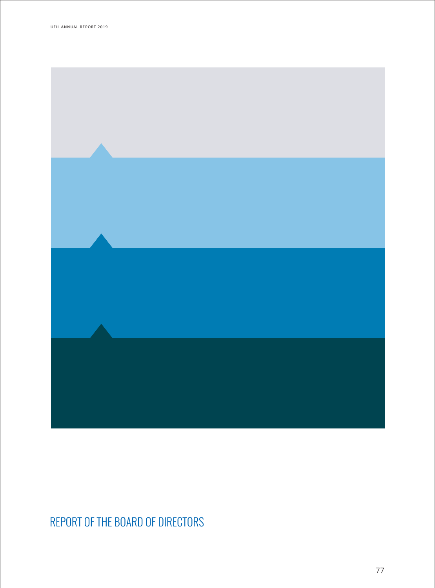

# REPORT OF THE BOARD OF DIRECTORS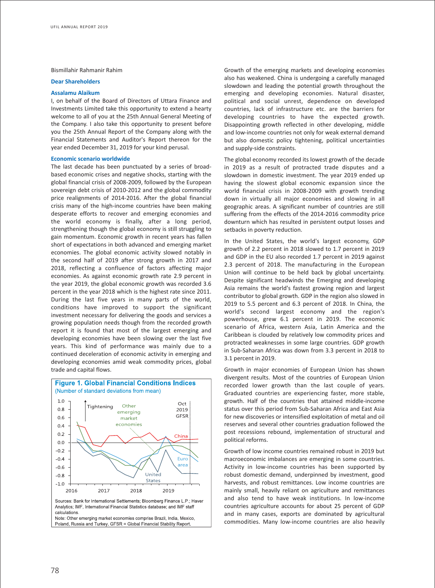#### Bismillahir Rahmanir Rahim

#### **Dear Shareholders**

# **Assalamu Alaikum**

I, on behalf of the Board of Directors of Uttara Finance and Investments Limited take this opportunity to extend a hearty welcome to all of you at the 25th Annual General Meeting of the Company. I also take this opportunity to present before you the 25th Annual Report of the Company along with the Financial Statements and Auditor's Report thereon for the year ended December 31, 2019 for your kind perusal.

# **Economic scenario worldwide**

The last decade has been punctuated by a series of broadbased economic crises and negative shocks, starting with the global financial crisis of 2008-2009, followed by the European sovereign debt crisis of 2010-2012 and the global commodity price realignments of 2014-2016. After the global financial crisis many of the high-income countries have been making desperate efforts to recover and emerging economies and the world economy is finally, after a long period, strengthening though the global economy is still struggling to gain momentum. Economic growth in recent years has fallen short of expectations in both advanced and emerging market economies. The global economic activity slowed notably in the second half of 2019 after strong growth in 2017 and 2018, reflecting a confluence of factors affecting major economies. As against economic growth rate 2.9 percent in the year 2019, the global economic growth was recorded 3.6 percent in the year 2018 which is the highest rate since 2011. During the last five years in many parts of the world, conditions have improved to support the significant investment necessary for delivering the goods and services a growing population needs though from the recorded growth report it is found that most of the largest emerging and developing economies have been slowing over the last five years. This kind of performance was mainly due to a continued deceleration of economic activity in emerging and developing economies amid weak commodity prices, global trade and capital flows.



Growth of the emerging markets and developing economies also has weakened. China is undergoing a carefully managed slowdown and leading the potential growth throughout the emerging and developing economies. Natural disaster, political and social unrest, dependence on developed countries, lack of infrastructure etc. are the barriers for developing countries to have the expected growth. Disappointing growth reflected in other developing, middle and low-income countries not only for weak external demand but also domestic policy tightening, political uncertainties and supply-side constraints.

The global economy recorded its lowest growth of the decade in 2019 as a result of protracted trade disputes and a slowdown in domestic investment. The year 2019 ended up having the slowest global economic expansion since the world financial crisis in 2008-2009 with growth trending down in virtually all major economies and slowing in all geographic areas. A significant number of countries are still suffering from the effects of the 2014-2016 commodity price downturn which has resulted in persistent output losses and setbacks in poverty reduction.

In the United States, the world's largest economy, GDP growth of 2.2 percent in 2018 slowed to 1.7 percent in 2019 and GDP in the EU also recorded 1.7 percent in 2019 against 2.3 percent of 2018. The manufacturing in the European Union will continue to be held back by global uncertainty. Despite significant headwinds the Emerging and developing Asia remains the world's fastest growing region and largest contributor to global growth. GDP in the region also slowed in 2019 to 5.5 percent and 6.3 percent of 2018. In China, the world's second largest economy and the region's powerhouse, grew 6.1 percent in 2019. The economic scenario of Africa, western Asia, Latin America and the Caribbean is clouded by relatively low commodity prices and protracted weaknesses in some large countries. GDP growth in Sub-Saharan Africa was down from 3.3 percent in 2018 to 3.1 percent in 2019.

Growth in major economies of European Union has shown divergent results. Most of the countries of European Union recorded lower growth than the last couple of years. Graduated countries are experiencing faster, more stable, growth. Half of the countries that attained middle-income status over this period from Sub-Saharan Africa and East Asia for new discoveries or intensified exploitation of metal and oil reserves and several other countries graduation followed the post recessions rebound, implementation of structural and political reforms.

Growth of low income countries remained robust in 2019 but macroeconomic imbalances are emerging in some countries. Activity in low-income countries has been supported by robust domestic demand, underpinned by investment, good harvests, and robust remittances. Low income countries are mainly small, heavily reliant on agriculture and remittances and also tend to have weak institutions. In low-income countries agriculture accounts for about 25 percent of GDP and in many cases, exports are dominated by agricultural commodities. Many low-income countries are also heavily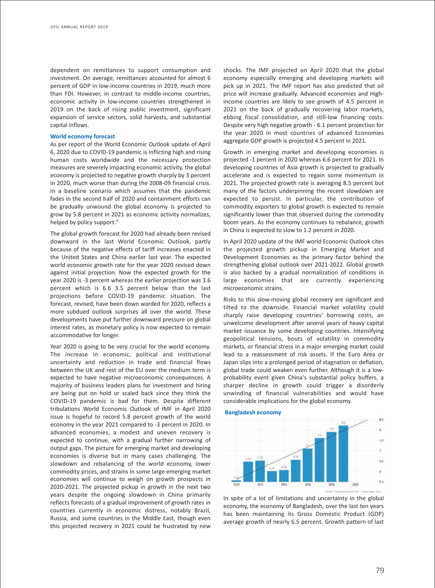dependent on remittances to support consumption and investment. On average, remittances accounted for almost 6 percent of GDP in low-income countries in 2019, much more than FDI. However, in contrast to middle-income countries, economic activity in low-income countries strengthened in 2019 on the back of rising public investment, significant expansion of service sectors, solid harvests, and substantial capital inflows.

## **World economy forecast**

As per report of the World Economic Outlook update of April 6, 2020 due to COVID-19 pandemic is inflicting high and rising human costs worldwide and the necessary protection measures are severely impacting economic activity, the global economy is projected to negative growth sharply by 3 percent in 2020, much worse than during the 2008-09 financial crisis. In a baseline scenario which assumes that the pandemic fades in the second half of 2020 and containment efforts can be gradually unwound the global economy is projected to grow by 5.8 percent in 2021 as economic activity normalizes, helped by policy support."

The global growth forecast for 2020 had already been revised downward in the last World Economic Outlook, partly because of the negative effects of tariff increases enacted in the United States and China earlier last year. The expected world economic growth rate for the year 2020 revised down against initial projection. Now the expected growth for the year 2020 is -3 percent whereas the earlier projection was 3.6 percent which is 6.6 3.5 percent below than the last projections before COVID-19 pandemic situation. The forecast, revised, have been down warded for 2020, reflects a more subdued outlook surprises all over the world. These developments have put further downward pressure on global interest rates, as monetary policy is now expected to remain accommodative for longer.

Year 2020 is going to be very crucial for the world economy. The increase in economic, political and institutional uncertainty and reduction in trade and financial flows between the UK and rest of the EU over the medium term is expected to have negative microeconomic consequences. A majority of business leaders plans for investment and hiring are being put on hold or scaled back since they think the COVID-19 pandemic is bad for them. Despite different tribulations World Economic Outlook of IMF in April 2020 issue is hopeful to record 5.8 percent growth of the world economy in the year 2021 compared to -3 percent in 2020. In advanced economies, a modest and uneven recovery is expected to continue, with a gradual further narrowing of output gaps. The picture for emerging market and developing economies is diverse but in many cases challenging. The slowdown and rebalancing of the world economy, lower commodity prices, and strains in some large emerging market economies will continue to weigh on growth prospects in 2020-2021. The projected pickup in growth in the next two years despite the ongoing slowdown in China primarily reflects forecasts of a gradual improvement of growth rates in countries currently in economic distress, notably Brazil, Russia, and some countries in the Middle East, though even this projected recovery in 2021 could be frustrated by new

shocks. The IMF projected on April 2020 that the global economy especially emerging and developing markets will pick up in 2021. The IMF report has also predicted that oil price will increase gradually. Advanced economies and Highincome countries are likely to see growth of 4.5 percent in 2021 on the back of gradually recovering labor markets, ebbing fiscal consolidation, and still-low financing costs. Despite very high negative growth - 6.1 percent projection for the year 2020 in most countries of advanced Economies aggregate GDP growth is projected 4.5 percent in 2021.

Growth in emerging market and developing economies is projected -1 percent in 2020 whereas 6.6 percent for 2021. In developing countries of Asia growth is projected to gradually accelerate and is expected to regain some momentum in 2021. The projected growth rate is averaging 8.5 percent but many of the factors underpinning the recent slowdown are expected to persist. In particular, the contribution of commodity exporters to global growth is expected to remain significantly lower than that observed during the commodity boom years. As the economy continues to rebalance, growth in China is expected to slow to 1.2 percent in 2020.

In April 2020 update of the IMF world Economic Outlook cites the projected growth pickup in Emerging Market and Development Economies as the primary factor behind the strengthening global outlook over 2021-2022. Global growth is also backed by a gradual normalization of conditions in large economies that are currently experiencing microeconomic strains.

Risks to this slow-moving global recovery are significant and tilted to the downside. Financial market volatility could sharply raise developing countries' borrowing costs, an unwelcome development after several years of heavy capital market issuance by some developing countries. Intensifying geopolitical tensions, bouts of volatility in commodity markets, or financial stress in a major emerging market could lead to a reassessment of risk assets. If the Euro Area or Japan slips into a prolonged period of stagnation or deflation, global trade could weaken even further. Although it is a lowprobability event given China's substantial policy buffers, a sharper decline in growth could trigger a disorderly unwinding of financial vulnerabilities and would have considerable implications for the global economy.





In spite of a lot of limitations and uncertainty in the global economy, the economy of Bangladesh, over the last ten years has been maintaining its Gross Domestic Product (GDP) average growth of nearly 6.5 percent. Growth pattern of last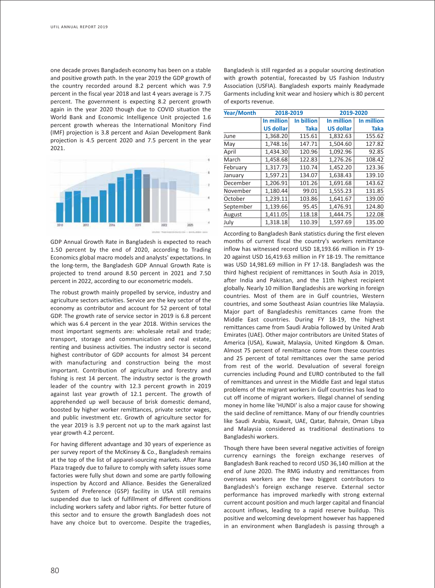one decade proves Bangladesh economy has been on a stable and positive growth path. In the year 2019 the GDP growth of the country recorded around 8.2 percent which was 7.9 percent in the fiscal year 2018 and last 4 years average is 7.75 percent. The government is expecting 8.2 percent growth again in the year 2020 though due to COVID situation the World Bank and Economic Intelligence Unit projected 1.6 percent growth whereas the International Monitory Find (IMF) projection is 3.8 percent and Asian Development Bank projection is 4.5 percent 2020 and 7.5 percent in the year 2021.



GDP Annual Growth Rate in Bangladesh is expected to reach 1.50 percent by the end of 2020, according to Trading Economics global macro models and analysts' expectations. In the long-term, the Bangladesh GDP Annual Growth Rate is projected to trend around 8.50 percent in 2021 and 7.50 percent in 2022, according to our econometric models.

The robust growth mainly propelled by service, industry and agriculture sectors activities. Service are the key sector of the economy as contributor and account for 52 percent of total GDP. The growth rate of service sector in 2019 is 6.8 percent which was 6.4 percent in the year 2018. Within services the most important segments are: wholesale retail and trade; transport, storage and communication and real estate, renting and business activities. The industry sector is second highest contributor of GDP accounts for almost 34 percent with manufacturing and construction being the most important. Contribution of agriculture and forestry and fishing is rest 14 percent. The industry sector is the growth leader of the country with 12.3 percent growth in 2019 against last year growth of 12.1 percent. The growth of apprehended up well because of brisk domestic demand, boosted by higher worker remittances, private sector wages, and public investment etc. Growth of agriculture sector for the year 2019 is 3.9 percent not up to the mark against last year growth 4.2 percent.

For having different advantage and 30 years of experience as per survey report of the McKinsey & Co., Bangladesh remains at the top of the list of apparel-sourcing markets. After Rana Plaza tragedy due to failure to comply with safety issues some factories were fully shut down and some are partly following inspection by Accord and Alliance. Besides the Generalized System of Preference (GSP) facility in USA still remains suspended due to lack of fulfillment of different conditions including workers safety and labor rights. For better future of this sector and to ensure the growth Bangladesh does not have any choice but to overcome. Despite the tragedies,

Bangladesh is still regarded as a popular sourcing destination with growth potential, forecasted by US Fashion Industry Association (USFIA). Bangladesh exports mainly Readymade Garments including knit wear and hosiery which is 80 percent of exports revenue.

| <b>Year/Month</b> | 2018-2019        |             | 2019-2020        |             |
|-------------------|------------------|-------------|------------------|-------------|
|                   | In million       | In billion  | In million       | In million  |
|                   | <b>US dollar</b> | <b>Taka</b> | <b>US dollar</b> | <b>Taka</b> |
| June              | 1,368.20         | 115.61      | 1,832.63         | 155.62      |
| May               | 1,748.16         | 147.71      | 1,504.60         | 127.82      |
| April             | 1,434.30         | 120.96      | 1,092.96         | 92.85       |
| March             | 1,458.68         | 122.83      | 1,276.26         | 108.42      |
| February          | 1,317.73         | 110.74      | 1,452.20         | 123.36      |
| January           | 1,597.21         | 134.07      | 1,638.43         | 139.10      |
| December          | 1,206.91         | 101.26      | 1,691.68         | 143.62      |
| November          | 1,180.44         | 99.01       | 1,555.23         | 131.85      |
| October           | 1,239.11         | 103.86      | 1,641.67         | 139.00      |
| September         | 1,139.66         | 95.45       | 1,476.91         | 124.80      |
| August            | 1,411.05         | 118.18      | 1,444.75         | 122.08      |
| July              | 1.318.18         | 110.39      | 1.597.69         | 135.00      |

According to Bangladesh Bank statistics during the first eleven months of current fiscal the country's workers remittance inflow has witnessed record USD 18,193.66 million in FY 19- 20 against USD 16,419.63 million in FY 18-19. The remittance was USD 14,981.69 million in FY 17-18. Bangladesh was the third highest recipient of remittances in South Asia in 2019, after India and Pakistan, and the 11th highest recipient globally. Nearly 10 million Bangladeshis are working in foreign countries. Most of them are in Gulf countries, Western countries, and some Southeast Asian countries like Malaysia. Major part of Bangladeshis remittances came from the Middle East countries. During FY 18-19, the highest remittances came from Saudi Arabia followed by United Arab Emirates (UAE). Other major contributors are United States of America (USA), Kuwait, Malaysia, United Kingdom & Oman. Almost 75 percent of remittance come from these countries and 25 percent of total remittances over the same period from rest of the world. Devaluation of several foreign currencies including Pound and EURO contributed to the fall of remittances and unrest in the Middle East and legal status problems of the migrant workers in Gulf countries has lead to cut off income of migrant workers. Illegal channel of sending money in home like 'HUNDI' is also a major cause for showing the said decline of remittance. Many of our friendly countries like Saudi Arabia, Kuwait, UAE, Qatar, Bahrain, Oman Libya and Malaysia considered as traditional destinations to Bangladeshi workers.

Though there have been several negative activities of foreign currency earnings the foreign exchange reserves of Bangladesh Bank reached to record USD 36,140 million at the end of June 2020. The RMG industry and remittances from overseas workers are the two biggest contributors to Bangladesh's foreign exchange reserve. External sector performance has improved markedly with strong external current account position and much larger capital and financial account inflows, leading to a rapid reserve buildup. This positive and welcoming development however has happened in an environment when Bangladesh is passing through a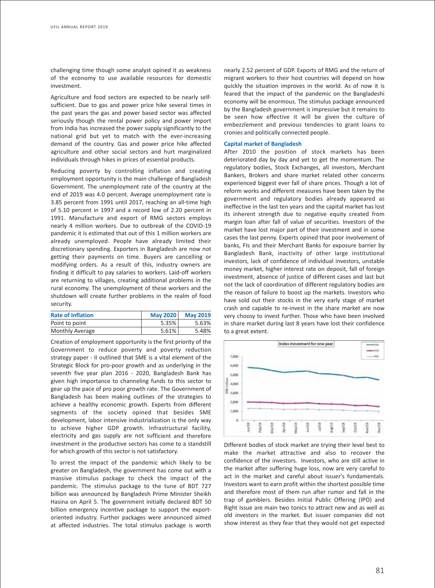challenging time though some analyst opined it as weakness of the economy to use available resources for domestic investment.

Agriculture and food sectors are expected to be nearly selfsufficient. Due to gas and power price hike several times in the past years the gas and power based sector was affected seriously though the rental power policy and power import from India has increased the power supply significantly to the national grid but yet to match with the ever-increasing demand of the country. Gas and power price hike affected agriculture and other social sectors and hurt marginalized individuals through hikes in prices of essential products.

Reducing poverty by controlling inflation and creating employment opportunity is the main challenge of Bangladesh Government. The unemployment rate of the country at the end of 2019 was 4.0 percent. Average unemployment rate is 3.85 percent from 1991 until 2017, reaching an all-time high of 5.10 percent in 1997 and a record low of 2.20 percent in 1991. Manufacture and export of RMG sectors employs nearly 4 million workers. Due to outbreak of the COVID-19 pandemic it is estimated that out of this 1 million workers are already unemployed. People have already limited their discretionary spending. Exporters in Bangladesh are now not getting their payments on time. Buyers are cancelling or modifying orders. As a result of this, industry owners are finding it difficult to pay salaries to workers. Laid-off workers are returning to villages, creating additional problems in the rural economy. The unemployment of these workers and the shutdown will create further problems in the realm of food security.

| <b>Rate of Inflation</b> | <b>May 2020</b> | <b>May 2019</b> |
|--------------------------|-----------------|-----------------|
| Point to point           | 5.35%           | 5.63%           |
| <b>Monthly Average</b>   | $5.61\%$        | 5.48%           |

Creation of employment opportunity is the first priority of the Government to reduce poverty and poverty reduction strategy paper - II outlined that SME is a vital element of the Strategic Block for pro-poor growth and as underlying in the seventh five year plan 2016 - 2020, Bangladesh Bank has given high importance to channeling funds to this sector to gear up the pace of pro poor growth rate. The Government of Bangladesh has been making outlines of the strategies to achieve a healthy economic growth. Experts from different segments of the society opined that besides SME development, labor intensive industrialization is the only way to achieve higher GDP growth. Infrastructural facility, electricity and gas supply are not sufficient and therefore investment in the productive sectors has come to a standstill for which growth of this sector is not satisfactory.

To arrest the impact of the pandemic which likely to be greater on Bangladesh, the government has come out with a massive stimulus package to check the impact of the pandemic. The stimulus package to the tune of BDT 727 billion was announced by Bangladesh Prime Minister Sheikh Hasina on April 5. The government initially declared BDT 50 billion emergency incentive package to support the exportoriented industry. Further packages were announced aimed at affected industries. The total stimulus package is worth

nearly 2.52 percent of GDP. Exports of RMG and the return of migrant workers to their host countries will depend on how quickly the situation improves in the world. As of now it is feared that the impact of the pandemic on the Bangladeshi economy will be enormous. The stimulus package announced by the Bangladesh government is impressive but it remains to be seen how effective it will be given the culture of embezzlement and previous tendencies to grant loans to cronies and politically connected people.

# **Capital market of Bangladesh**

After 2010 the position of stock markets has been deteriorated day by day and yet to get the momentum. The regulatory bodies, Stock Exchanges, all investors, Merchant Bankers, Brokers and share market related other concerns experienced biggest ever fall of share prices. Though a lot of reform works and different measures have been taken by the government and regulatory bodies already appeared as ineffective in the last ten years and the capital market has lost its inherent strength due to negative equity created from margin loan after fall of value of securities. Investors of the market have lost major part of their investment and in some cases the last penny. Experts opined that poor involvement of banks, FIs and their Merchant Banks for exposure barrier by Bangladesh Bank, inactivity of other large institutional investors, lack of confidence of individual investors, unstable money market, higher interest rate on deposit, fall of foreign investment, absence of justice of different cases and last but not the lack of coordination of different regulatory bodies are the reason of failure to boost up the markets. Investors who have sold out their stocks in the very early stage of market crash and capable to re-invest in the share market are now very choosy to invest further. Those who have been involved in share market during last 8 years have lost their confidence to a great extent.



Different bodies of stock market are trying their level best to make the market attractive and also to recover the confidence of the investors. Investors, who are still active in the market after suffering huge loss, now are very careful to act in the market and careful about issuer's fundamentals. Investors want to earn profit within the shortest possible time and therefore most of them run after rumor and fall in the trap of gamblers. Besides Initial Public Offering (IPO) and Right Issue are main two tonics to attract new and as well as old investors in the market. But issuer companies did not show interest as they fear that they would not get expected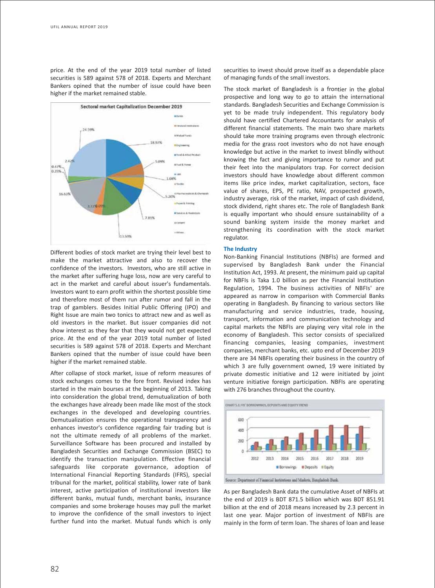price. At the end of the year 2019 total number of listed securities is 589 against 578 of 2018. Experts and Merchant Bankers opined that the number of issue could have been higher if the market remained stable.



Different bodies of stock market are trying their level best to make the market attractive and also to recover the confidence of the investors. Investors, who are still active in the market after suffering huge loss, now are very careful to act in the market and careful about issuer's fundamentals. Investors want to earn profit within the shortest possible time and therefore most of them run after rumor and fall in the trap of gamblers. Besides Initial Public Offering (IPO) and Right Issue are main two tonics to attract new and as well as old investors in the market. But issuer companies did not show interest as they fear that they would not get expected price. At the end of the year 2019 total number of listed securities is 589 against 578 of 2018. Experts and Merchant Bankers opined that the number of issue could have been higher if the market remained stable.

After collapse of stock market, issue of reform measures of stock exchanges comes to the fore front. Revised index has started in the main bourses at the beginning of 2013. Taking into consideration the global trend, demutualization of both the exchanges have already been made like most of the stock exchanges in the developed and developing countries. Demutualization ensures the operational transparency and enhances investor's confidence regarding fair trading but is not the ultimate remedy of all problems of the market. Surveillance Software has been procured and installed by Bangladesh Securities and Exchange Commission (BSEC) to identify the transaction manipulation. Effective financial safeguards like corporate governance, adoption of International Financial Reporting Standards (IFRS), special tribunal for the market, political stability, lower rate of bank interest, active participation of institutional investors like different banks, mutual funds, merchant banks, insurance companies and some brokerage houses may pull the market to improve the confidence of the small investors to inject further fund into the market. Mutual funds which is only

securities to invest should prove itself as a dependable place of managing funds of the small investors.

The stock market of Bangladesh is a frontier in the global prospective and long way to go to attain the international standards. Bangladesh Securities and Exchange Commission is yet to be made truly independent. This regulatory body should have certified Chartered Accountants for analysis of different financial statements. The main two share markets should take more training programs even through electronic media for the grass root investors who do not have enough knowledge but active in the market to invest blindly without knowing the fact and giving importance to rumor and put their feet into the manipulators trap. For correct decision investors should have knowledge about different common items like price index, market capitalization, sectors, face value of shares, EPS, PE ratio, NAV, prospected growth, industry average, risk of the market, impact of cash dividend, stock dividend, right shares etc. The role of Bangladesh Bank is equally important who should ensure sustainability of a sound banking system inside the money market and strengthening its coordination with the stock market regulator.

# **The Industry**

Non-Banking Financial Institutions (NBFIs) are formed and supervised by Bangladesh Bank under the Financial Institution Act, 1993. At present, the minimum paid up capital for NBFIs is Taka 1.0 billion as per the Financial Institution Regulation, 1994. The business activities of NBFIs' are appeared as narrow in comparison with Commercial Banks operating in Bangladesh. By financing to various sectors like manufacturing and service industries, trade, housing, transport, information and communication technology and capital markets the NBFIs are playing very vital role in the economy of Bangladesh. This sector consists of specialized financing companies, leasing companies, investment companies, merchant banks, etc. upto end of December 2019 there are 34 NBFIs operating their business in the country of which 3 are fully government owned, 19 were initiated by private domestic initiative and 12 were initiated by joint venture initiative foreign participation. NBFIs are operating with 276 branches throughout the country.



Source: Department of Financial Institutions and Markets, Bangladesh Bank.

As per Bangladesh Bank data the cumulative Asset of NBFIs at the end of 2019 is BDT 871.5 billion which was BDT 851.91 billion at the end of 2018 means increased by 2.3 percent in last one year. Major portion of investment of NBFIs are mainly in the form of term loan. The shares of loan and lease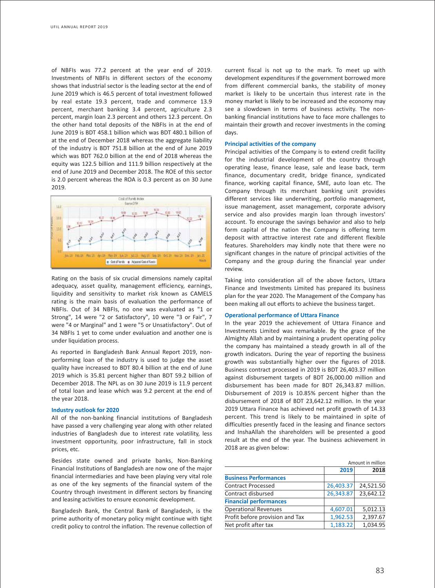of NBFIs was 77.2 percent at the year end of 2019. Investments of NBFIs in different sectors of the economy shows that industrial sector is the leading sector at the end of June 2019 which is 46.5 percent of total investment followed by real estate 19.3 percent, trade and commerce 13.9 percent, merchant banking 3.4 percent, agriculture 2.3 percent, margin loan 2.3 percent and others 12.3 percent. On the other hand total deposits of the NBFIs in at the end of June 2019 is BDT 458.1 billion which was BDT 480.1 billion of at the end of December 2018 whereas the aggregate liability of the industry is BDT 751.8 billion at the end of June 2019 which was BDT 762.0 billion at the end of 2018 whereas the equity was 122.5 billion and 111.9 billion respectively at the end of June 2019 and December 2018. The ROE of this sector is 2.0 percent whereas the ROA is 0.3 percent as on 30 June 2019.



Rating on the basis of six crucial dimensions namely capital adequacy, asset quality, management efficiency, earnings, liquidity and sensitivity to market risk known as CAMELS rating is the main basis of evaluation the performance of NBFIs. Out of 34 NBFIs, no one was evaluated as "1 or Strong", 14 were "2 or Satisfactory", 10 were "3 or Fair", 7 were "4 or Marginal" and 1 were "5 or Unsatisfactory". Out of 34 NBFIs 1 yet to come under evaluation and another one is under liquidation process.

As reported in Bangladesh Bank Annual Report 2019, nonperforming loan of the industry is used to judge the asset quality have increased to BDT 80.4 billion at the end of June 2019 which is 35.81 percent higher than BDT 59.2 billion of December 2018. The NPL as on 30 June 2019 is 11.9 percent of total loan and lease which was 9.2 percent at the end of the year 2018.

#### **Industry outlook for 2020**

All of the non-banking financial institutions of Bangladesh have passed a very challenging year along with other related industries of Bangladesh due to interest rate volatility, less investment opportunity, poor infrastructure, fall in stock prices, etc.

Besides state owned and private banks, Non-Banking Financial Institutions of Bangladesh are now one of the major financial intermediaries and have been playing very vital role as one of the key segments of the financial system of the Country through investment in different sectors by financing and leasing activities to ensure economic development.

Bangladesh Bank, the Central Bank of Bangladesh, is the prime authority of monetary policy might continue with tight credit policy to control the inflation. The revenue collection of

current fiscal is not up to the mark. To meet up with development expenditures if the government borrowed more from different commercial banks, the stability of money market is likely to be uncertain thus interest rate in the money market is likely to be increased and the economy may see a slowdown in terms of business activity. The nonbanking financial institutions have to face more challenges to maintain their growth and recover investments in the coming days.

## **Principal activities of the company**

Principal activities of the Company is to extend credit facility for the industrial development of the country through operating lease, finance lease, sale and lease back, term finance, documentary credit, bridge finance, syndicated finance, working capital finance, SME, auto loan etc. The Company through its merchant banking unit provides different services like underwriting, portfolio management, issue management, asset management, corporate advisory service and also provides margin loan through investors' account. To encourage the savings behavior and also to help form capital of the nation the Company is offering term deposit with attractive interest rate and different flexible features. Shareholders may kindly note that there were no significant changes in the nature of principal activities of the Company and the group during the financial year under review.

Taking into consideration all of the above factors, Uttara Finance and Investments Limited has prepared its business plan for the year 2020. The Management of the Company has been making all out efforts to achieve the business target.

## **Operational performance of Uttara Finance**

In the year 2019 the achievement of Uttara Finance and Investments Limited was remarkable. By the grace of the Almighty Allah and by maintaining a prudent operating policy the company has maintained a steady growth in all of the growth indicators. During the year of reporting the business growth was substantially higher over the figures of 2018. Business contract processed in 2019 is BDT 26,403.37 million against disbursement targets of BDT 26,000.00 million and disbursement has been made for BDT 26,343.87 million. Disbursement of 2019 is 10.85% percent higher than the disbursement of 2018 of BDT 23,642.12 million. In the year 2019 Uttara Finance has achieved net profit growth of 14.33 percent. This trend is likely to be maintained in spite of difficulties presently faced in the leasing and finance sectors and InshaAllah the shareholders will be presented a good result at the end of the year. The business achievement in 2018 are as given below:

|                                 | Amount in million |           |  |
|---------------------------------|-------------------|-----------|--|
|                                 | 2019              | 2018      |  |
| <b>Business Performances</b>    |                   |           |  |
| <b>Contract Processed</b>       | 26,403.37         | 24,521.50 |  |
| Contract disbursed              | 26,343.87         | 23,642.12 |  |
| <b>Financial performances</b>   |                   |           |  |
| <b>Operational Revenues</b>     | 4,607.01          | 5,012.13  |  |
| Profit before provision and Tax | 1,962.53          | 2,397.67  |  |
| Net profit after tax            | 1,183.22          | 1,034.95  |  |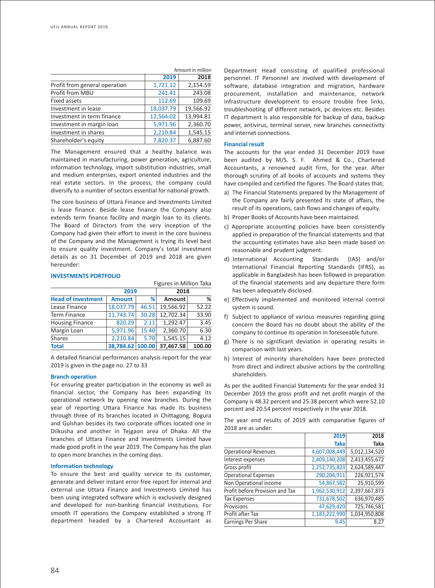|                               |           | Amount in million |
|-------------------------------|-----------|-------------------|
|                               | 2019      | 2018              |
| Profit from general operation | 1,721.12  | 2,154.59          |
| Profit from MBU               | 241.41    | 243.08            |
| Fixed assets                  | 112.69    | 109.69            |
| Investment in lease           | 18,037.79 | 19,566.92         |
| Investment in term finance    | 12,564.02 | 13,994.81         |
| Investment in margin loan     | 5,971.96  | 2,360.70          |
| Investment in shares          | 2,210.84  | 1,545.15          |
| Shareholder's equity          | 7,820.37  | 6,887.60          |

The Management ensured that a healthy balance was maintained in manufacturing, power generation, agriculture, information technology, import substitution industries, small and medium enterprises, export oriented industries and the real estate sectors. In the process, the company could diversify to a number of sectors essential for national growth.

The core business of Uttara Finance and Investments Limited is lease finance. Beside lease finance the Company also extends term finance facility and margin loan to its clients. The Board of Directors from the very inception of the Company had given their effort to invest in the core business of the Company and the Management is trying its level best to ensure quality investment. Company's total investment details as on 31 December of 2019 and 2018 are given hereunder:

# **INVESTMENTS PORTFOLIO**

| Figures in Million Taka   |                  |       |               |        |
|---------------------------|------------------|-------|---------------|--------|
|                           | 2019             |       |               |        |
| <b>Head of investment</b> | <b>Amount</b>    | %     | <b>Amount</b> | %      |
| Lease Finance             | 18,037.79        | 46.51 | 19,566.92     | 52.22  |
| <b>Term Finance</b>       | 11,743.74        | 30.28 | 12,702.34     | 33.90  |
| <b>Housing Finance</b>    | 820.29           | 2.11  | 1,292.47      | 3.45   |
| Margin Loan               | 5,971.96         | 15.40 | 2,360.70      | 6.30   |
| <b>Shares</b>             | 2,210.84         | 5.70  | 1,545.15      | 4.12   |
| <b>Total</b>              | 38,784.62 100.00 |       | 37,467.58     | 100.00 |

A detailed financial performances analysis report for the year 2019 is given in the page no. 27 to 33

## **Branch operation**

For ensuring greater participation in the economy as well as financial sector, the Company has been expanding its operational network by opening new branches. During the year of reporting Uttara Finance has made its business through three of its branches located in Chittagong, Bogura and Gulshan besides its two corporate offices located one in Dilkusha and another in Tejgaon area of Dhaka. All the branches of Uttara Finance and Investments Limited have made good profit in the year 2019. The Company has the plan to open more branches in the coming days.

### **Information technology**

To ensure the best and quality service to its customer, generate and deliver instant error free report for internal and external use Uttara Finance and Investments Limited has been using integrated software which is exclusively designed and developed for non-banking financial institutions. For smooth IT operations the Company established a strong IT department headed by a Chartered Accountant as

Department Head consisting of qualified professional personnel. IT Personnel are involved with development of software, database integration and migration, hardware procurement, installation and maintenance, network infrastructure development to ensure trouble free links, troubleshooting of different network, pc devices etc. Besides IT department is also responsible for backup of data, backup power, antivirus, terminal server, new branches connectivity and internet connections.

#### **Financial result**

The accounts for the year ended 31 December 2019 have been audited by M/S. S. F. Ahmed & Co., Chartered Accountants, a renowned audit firm, for the year. After thorough scrutiny of all books of accounts and systems they have compiled and certified the figures. The Board states that;

- a) The Financial Statements prepared by the Management of the Company are fairly presented its state of affairs, the result of its operations, cash flows and changes of equity.
- b) Proper Books of Accounts have been maintained.
- c) Appropriate accounting policies have been consistently applied in preparation of the financial statements and that the accounting estimates have also been made based on reasonable and prudent judgment.
- d) International Accounting Standards (IAS) and/or International Financial Reporting Standards (IFRS), as applicable in Bangladesh has been followed in preparation of the financial statements and any departure there form has been adequately disclosed.
- e) Effectively implemented and monitored internal control system is sound.
- f) Subject to appliance of various measures regarding going concern the Board has no doubt about the ability of the company to continue its operation in foreseeable future.
- g) There is no significant deviation in operating results in comparison with last years.
- h) Interest of minority shareholders have been protected from direct and indirect abusive actions by the controlling shareholders.

As per the audited Financial Statements for the year ended 31 December 2019 the gross profit and net profit margin of the Company is 48.32 percent and 25.38 percent which were 52.10 percent and 20.54 percent respectively in the year 2018.

The year end results of 2019 with comparative figures of 2018 are as under:

|                                 | 2019          | 2018          |
|---------------------------------|---------------|---------------|
|                                 | <b>Taka</b>   | Taka          |
| <b>Operational Revenues</b>     | 4,607,008,449 | 5,012,134,520 |
| Interest expenses               | 2,409,140,208 | 2,413,455,672 |
| Gross profit                    | 2,252,735,823 | 2,624,589,447 |
| <b>Operational Expenses</b>     | 290,204,911   | 226,921,574   |
| Non Operational income          | 54,867,582    | 25,910,599    |
| Profit before Provision and Tax | 1,962,530,912 | 2,397,667,873 |
| <b>Tax Expenses</b>             | 731,678,502   | 636,970,485   |
| Provisions                      | 47,629,420    | 725,746,581   |
| Profit after Tax                | 1,183,222,990 | 1,034,950,808 |
| Earnings Per Share              | 9.45          | 8.27          |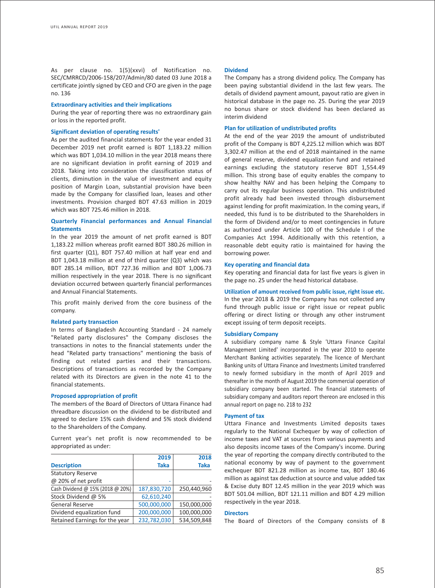As per clause no. 1(5)(xxvi) of Notification no. SEC/CMRRCD/2006-158/207/Admin/80 dated 03 June 2018 a certificate jointly signed by CEO and CFO are given in the page no. 136

#### **Extraordinary activities and their implications**

During the year of reporting there was no extraordinary gain or loss in the reported profit.

# **Significant deviation of operating results'**

As per the audited financial statements for the year ended 31 December 2019 net profit earned is BDT 1,183.22 million which was BDT 1,034.10 million in the year 2018 means there are no significant deviation in profit earning of 2019 and 2018. Taking into consideration the classification status of clients, diminution in the value of investment and equity position of Margin Loan, substantial provision have been made by the Company for classified loan, leases and other investments. Provision charged BDT 47.63 million in 2019 which was BDT 725.46 million in 2018.

# **Quarterly Financial performances and Annual Financial Statements**

In the year 2019 the amount of net profit earned is BDT 1,183.22 million whereas profit earned BDT 380.26 million in first quarter (Q1), BDT 757.40 million at half year end and BDT 1,043.18 million at end of third quarter (Q3) which was BDT 285.14 million, BDT 727.36 million and BDT 1,006.73 million respectively in the year 2018. There is no significant deviation occurred between quarterly financial performances and Annual Financial Statements.

This profit mainly derived from the core business of the company.

#### **Related party transaction**

In terms of Bangladesh Accounting Standard - 24 namely "Related party disclosures" the Company discloses the transactions in notes to the financial statements under the head "Related party transactions" mentioning the basis of finding out related parties and their transactions. Descriptions of transactions as recorded by the Company related with its Directors are given in the note 41 to the financial statements.

#### **Proposed appropriation of profit**

The members of the Board of Directors of Uttara Finance had threadbare discussion on the dividend to be distributed and agreed to declare 15% cash dividend and 5% stock dividend to the Shareholders of the Company.

Current year's net profit is now recommended to be appropriated as under:

|                                  | 2019        | 2018        |
|----------------------------------|-------------|-------------|
| <b>Description</b>               | <b>Taka</b> | <b>Taka</b> |
| <b>Statutory Reserve</b>         |             |             |
| @ 20% of net profit              |             |             |
| Cash Dividend @ 15% (2018 @ 20%) | 187,830,720 | 250,440,960 |
| Stock Dividend @ 5%              | 62,610,240  |             |
| <b>General Reserve</b>           | 500,000,000 | 150,000,000 |
| Dividend equalization fund       | 200,000,000 | 100,000,000 |
| Retained Earnings for the year   | 232,782,030 | 534,509,848 |

#### **Dividend**

The Company has a strong dividend policy. The Company has been paying substantial dividend in the last few years. The details of dividend payment amount, payout ratio are given in historical database in the page no. 25. During the year 2019 no bonus share or stock dividend has been declared as interim dividend

# **Plan for utilization of undistributed profits**

At the end of the year 2019 the amount of undistributed profit of the Company is BDT 4,225.12 million which was BDT 3,302.47 million at the end of 2018 maintained in the name of general reserve, dividend equalization fund and retained earnings excluding the statutory reserve BDT 1,554.49 million. This strong base of equity enables the company to show healthy NAV and has been helping the Company to carry out its regular business operation. This undistributed profit already had been invested through disbursement against lending for profit maximization. In the coming years, if needed, this fund is to be distributed to the Shareholders in the form of Dividend and/or to meet contingencies in future as authorized under Article 100 of the Schedule I of the Companies Act 1994. Additionally with this retention, a reasonable debt equity ratio is maintained for having the borrowing power.

#### **Key operating and financial data**

Key operating and financial data for last five years is given in the page no. 25 under the head historical database.

# **Utilization of amount received from public issue, right issue etc.**

In the year 2018 & 2019 the Company has not collected any fund through public issue or right issue or repeat public offering or direct listing or through any other instrument except issuing of term deposit receipts.

#### **Subsidiary Company**

A subsidiary company name & Style 'Uttara Finance Capital Management Limited' incorporated in the year 2010 to operate Merchant Banking activities separately. The licence of Merchant Banking units of Uttara Finance and Investments Limited transferred to newly formed subsidiary in the month of April 2019 and thereafter in the month of August 2019 the commercial operation of subsidiary company been started. The financial statements of subsidiary company and auditors report thereon are enclosed in this annual report on page no. 218 to 232

# **Payment of tax**

Uttara Finance and Investments Limited deposits taxes regularly to the National Exchequer by way of collection of income taxes and VAT at sources from various payments and also deposits income taxes of the Company's income. During the year of reporting the company directly contributed to the national economy by way of payment to the government exchequer BDT 821.28 million as income tax, BDT 180.46 million as against tax deduction at source and value added tax & Excise duty BDT 12.45 million in the year 2019 which was BDT 501.04 million, BDT 121.11 million and BDT 4.29 million respectively in the year 2018.

## **Directors**

The Board of Directors of the Company consists of 8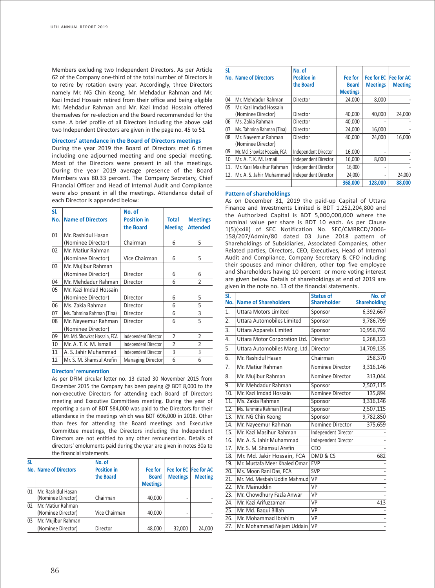Members excluding two Independent Directors. As per Article 62 of the Company one-third of the total number of Directors is to retire by rotation every year. Accordingly, three Directors namely Mr. NG Chin Keong, Mr. Mehdadur Rahman and Mr. Kazi Imdad Hossain retired from their office and being eligible Mr. Mehdadur Rahman and Mr. Kazi Imdad Hossain offered themselves for re-election and the Board recommended for the same. A brief profile of all Directors including the above said two Independent Directors are given in the page no. 45 to 51

# **Directors' attendance in the Board of Directors meetings**

During the year 2019 the Board of Directors met 6 times including one adjourned meeting and one special meeting. Most of the Directors were present in all the meetings. During the year 2019 average presence of the Board Members was 80.33 percent. The Company Secretary, Chief Financial Officer and Head of Internal Audit and Compliance were also present in all the meetings. Attendance detail of each Director is appended below:

| SI. |                              | No. of                   |                |                 |
|-----|------------------------------|--------------------------|----------------|-----------------|
| No. | <b>Name of Directors</b>     | <b>Position in</b>       | <b>Total</b>   | <b>Meetings</b> |
|     |                              | the Board                | <b>Meeting</b> | <b>Attended</b> |
| 01  | Mr. Rashidul Hasan           |                          |                |                 |
|     | (Nominee Director)           | Chairman                 | 6              | 5               |
| 02  | Mr. Matiur Rahman            |                          |                |                 |
|     | (Nominee Director)           | Vice Chairman            | 6              | 5               |
| 03  | Mr. Mujibur Rahman           |                          |                |                 |
|     | (Nominee Director)           | Director                 | 6              | 6               |
| 04  | Mr. Mehdadur Rahman          | Director                 | 6              | $\overline{2}$  |
| 05  | Mr. Kazi Imdad Hossain       |                          |                |                 |
|     | (Nominee Director)           | Director                 | 6              | 5               |
| 06  | Ms. Zakia Rahman             | Director                 | 6              | 5               |
| 07  | Ms. Tahmina Rahman (Tina)    | Director                 | 6              | 3               |
| 08  | Mr. Nayeemur Rahman          | Director                 | 6              | 5               |
|     | (Nominee Director)           |                          |                |                 |
| 09  | Mr. Md. Showkat Hossain, FCA | Independent Director     | 2              | 2               |
| 10  | Mr. A. T. K. M. Ismail       | Independent Director     | $\overline{2}$ | $\overline{2}$  |
| 11  | A. S. Jahir Muhammad         | Independent Director     | 3              | 3               |
| 12  | Mr. S. M. Shamsul Arefin     | <b>Managing Director</b> | 6              | 6               |

#### **Directors' remuneration**

As per DFIM circular letter no. 13 dated 30 November 2015 from December 2015 the Company has been paying @ BDT 8,000 to the non-executive Directors for attending each Board of Directors meeting and Executive Committees meeting. During the year of reporting a sum of BDT 584,000 was paid to the Directors for their attendance in the meetings which was BDT 696,000 in 2018. Other than fees for attending the Board meetings and Executive Committee meetings, the Directors including the Independent Directors are not entitled to any other remuneration. Details of directors' emoluments paid during the year are given in notes 30a to the financial statements.

| SI.             | <b>No. Name of Directors</b>             | No. of<br><b>Position in</b><br>the Board | Fee for<br><b>Board</b><br><b>Meetings</b> | <b>Meetings</b> | Fee for EC   Fee for AC<br><b>Meeting</b> |
|-----------------|------------------------------------------|-------------------------------------------|--------------------------------------------|-----------------|-------------------------------------------|
| 01              | Mr. Rashidul Hasan<br>(Nominee Director) | Chairman                                  | 40,000                                     |                 |                                           |
| $\overline{02}$ | Mr. Matiur Rahman<br>(Nominee Director)  | Vice Chairman                             | 40,000                                     |                 |                                           |
| 03              | Mr. Mujibur Rahman<br>(Nominee Director) | Director                                  | 48,000                                     | 32,000          | 24,000                                    |

| SI. |                                              | No. of                      |                 |                        |                |
|-----|----------------------------------------------|-----------------------------|-----------------|------------------------|----------------|
|     | <b>No.   Name of Directors</b>               | <b>Position in</b>          | Fee for         | Fee for EC  Fee for AC |                |
|     |                                              | the Board                   | <b>Board</b>    | <b>Meetings</b>        | <b>Meeting</b> |
|     |                                              |                             | <b>Meetings</b> |                        |                |
| 04  | Mr. Mehdadur Rahman                          | Director                    | 24,000          | 8,000                  |                |
| 05  | Mr. Kazi Imdad Hossain<br>(Nominee Director) | Director                    | 40,000          | 40,000                 | 24,000         |
| 06  | Ms. Zakia Rahman                             | Director                    | 40,000          |                        |                |
| 07  | Ms. Tahmina Rahman (Tina)                    | Director                    | 24,000          | 16,000                 |                |
| 08  | Mr. Nayeemur Rahman<br>(Nominee Director)    | Director                    | 40,000          | 24,000                 | 16,000         |
| 09  | Mr. Md. Showkat Hossain, FCA                 | Independent Director        | 16,000          |                        |                |
| 10  | Mr. A. T. K. M. Ismail                       | Independent Director        | 16,000          | 8,000                  |                |
| 11. | Mr. Kazi Masihur Rahman                      | <b>Independent Director</b> | 16,000          |                        |                |
|     | 12.   Mr. A. S. Jahir Muhammad               | <b>Independent Director</b> | 24,000          |                        | 24,000         |
|     |                                              |                             | 368,000         | 128,000                | 88,000         |

### **Pattern of shareholdings**

As on December 31, 2019 the paid-up Capital of Uttara Finance and Investments Limited is BDT 1,252,204,800 and the Authorized Capital is BDT 5,000,000,000 where the nominal value per share is BDT 10 each. As per Clause 1(5)(xxiii) of SEC Notification No. SEC/CMRRCD/2006- 158/207/Admin/80 dated 03 June 2018 pattern of Shareholdings of Subsidiaries, Associated Companies, other Related parties, Directors, CEO, Executives, Head of Internal Audit and Compliance, Company Secretary & CFO including their spouses and minor children, other top five employee and Shareholders having 10 percent or more voting interest are given below. Details of shareholdings at end of 2019 are given in the note no. 13 of the financial statements.

| <b>Name of Shareholders</b>       | <b>Status of</b><br><b>Shareholder</b> | No. of<br><b>Shareholding</b> |
|-----------------------------------|----------------------------------------|-------------------------------|
| <b>Uttara Motors Limited</b>      | Sponsor                                | 6,392,667                     |
| <b>Uttara Automobiles Limited</b> | Sponsor                                | 9,786,799                     |
| <b>Uttara Apparels Limited</b>    | Sponsor                                | 10,956,792                    |
| Uttara Motor Corporation Ltd.     | Director                               | 6,268,123                     |
| Uttara Automobiles Mang. Ltd.     | Director                               | 14,709,135                    |
| Mr. Rashidul Hasan                | Chairman                               | 258,370                       |
| Mr. Matiur Rahman                 | Nominee Director                       | 3,316,146                     |
| Mr. Mujibur Rahman                | Nominee Director                       | 313,044                       |
| Mr. Mehdadur Rahman               | Sponsor                                | 2,507,115                     |
| Mr. Kazi Imdad Hossain            | Nominee Director                       | 135,894                       |
| Ms. Zakia Rahman                  | Sponsor                                | 3,316,146                     |
| Ms. Tahmina Rahman (Tina)         | Sponsor                                | 2,507,115                     |
| Mr. NG Chin Keong                 | Sponsor                                | 9,782,850                     |
| Mr. Nayeemur Rahman               | Nominee Director                       | 375,659                       |
| Mr. Kazi Masihur Rahman           | <b>Independent Director</b>            |                               |
| Mr. A. S. Jahir Muhammad          | Independent Director                   |                               |
| Mr. S. M. Shamsul Arefin          | <b>CEO</b>                             |                               |
| Mr. Md. Jakir Hossain, FCA        | DMD & CS                               | 682                           |
| Mr. Mustafa Meer Khaled Omar      | <b>EVP</b>                             |                               |
| Ms. Moon Rani Das, FCA            | <b>SVP</b>                             |                               |
|                                   | VP                                     |                               |
| Mr. Mainuddin                     | VP                                     |                               |
| Mr. Chowdhury Fazla Anwar         | VP                                     |                               |
| Mr. Kazi Arifuzzaman              | VP                                     | 413                           |
| Mr. Md. Baqui Billah              | $\overline{VP}$                        |                               |
| Mr. Mohammad Ibrahim              | VP                                     |                               |
| Mr. Mohammad Nejam Uddain         | <b>VP</b>                              |                               |
|                                   |                                        | Mr. Md. Mesbah Uddin Mahmud   |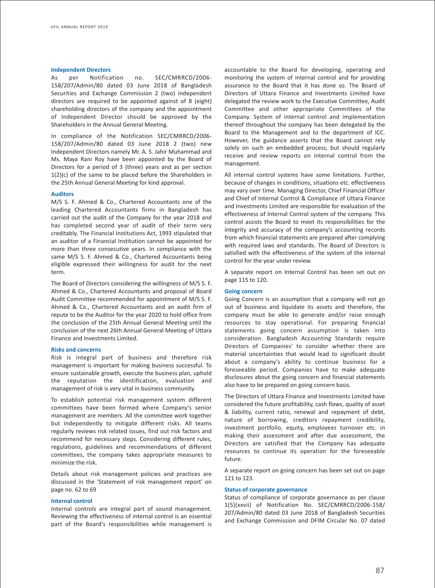## **Independent Directors**

As per Notification no. SEC/CMRRCD/2006- 158/207/Admin/80 dated 03 June 2018 of Bangladesh Securities and Exchange Commission 2 (two) independent directors are required to be appointed against of 8 (eight) shareholding directors of the company and the appointment of Independent Director should be approved by the Shareholders in the Annual General Meeting.

In compliance of the Notification SEC/CMRRCD/2006- 158/207/Admin/80 dated 03 June 2018 2 (two) new Independent Directors namely Mr. A. S. Jahir Muhammad and Ms. Maya Rani Roy have been appointed by the Board of Directors for a period of 3 (three) years and as per section 1(2)(c) of the same to be placed before the Shareholders in the 25th Annual General Meeting for kind approval.

# **Auditors**

M/S S. F. Ahmed & Co., Chartered Accountants one of the leading Chartered Accountants firms in Bangladesh has carried out the audit of the Company for the year 2018 and has completed second year of audit of their term very creditably. The Financial Institutions Act, 1993 stipulated that an auditor of a Financial Institution cannot be appointed for more than three consecutive years. In compliance with the same M/S S. F. Ahmed & Co., Chartered Accountants being eligible expressed their willingness for audit for the next term.

The Board of Directors considering the willingness of M/S S. F. Ahmed & Co., Chartered Accountants and proposal of Board Audit Committee recommended for appointment of M/S S. F. Ahmed & Co., Chartered Accountants and an audit firm of repute to be the Auditor for the year 2020 to hold office from the conclusion of the 25th Annual General Meeting until the conclusion of the next 26th Annual General Meeting of Uttara Finance and Investments Limited.

## **Risks and concerns**

Risk is integral part of business and therefore risk management is important for making business successful. To ensure sustainable growth, execute the business plan, uphold the reputation the identification, evaluation and management of risk is very vital in business community.

To establish potential risk management system different committees have been formed where Company's senior management are members. All the committee work together but independently to mitigate different risks. All teams regularly reviews risk related issues, find out risk factors and recommend for necessary steps. Considering different rules, regulations, guidelines and recommendations of different committees, the company takes appropriate measures to minimize the risk.

Details about risk management policies and practices are discussed in the 'Statement of risk management report' on page no. 62 to 69

## **Internal control**

Internal controls are integral part of sound management. Reviewing the effectiveness of internal control is an essential part of the Board's responsibilities while management is accountable to the Board for developing, operating and monitoring the system of internal control and for providing assurance to the Board that it has done so. The Board of Directors of Uttara Finance and Investments Limited have delegated the review work to the Executive Committee, Audit Committee and other appropriate Committees of the Company. System of internal control and implementation thereof throughout the company has been delegated by the Board to the Management and to the department of ICC. However, the guidance asserts that the Board cannot rely solely on such an embedded process, but should regularly receive and review reports on internal control from the management.

All internal control systems have some limitations. Further, because of changes in conditions, situations etc. effectiveness may vary over time. Managing Director, Chief Financial Officer and Chief of Internal Control & Compliance of Uttara Finance and Investments Limited are responsible for evaluation of the effectiveness of Internal Control system of the company. This control assists the Board to meet its responsibilities for the integrity and accuracy of the company's accounting records from which financial statements are prepared after complying with required laws and standards. The Board of Directors is satisfied with the effectiveness of the system of the internal control for the year under review.

A separate report on Internal Control has been set out on page 115 to 120.

#### **Going concern**

Going Concern is an assumption that a company will not go out of business and liquidate its assets and therefore, the company must be able to generate and/or raise enough resources to stay operational. For preparing financial statements going concern assumption is taken into consideration. Bangladesh Accounting Standards require Directors of Companies' to consider whether there are material uncertainties that would lead to significant doubt about a company's ability to continue business for a foreseeable period. Companies have to make adequate disclosures about the going concern and financial statements also have to be prepared on going concern basis.

The Directors of Uttara Finance and Investments Limited have considered the future profitability, cash flows, quality of asset & liability, current ratio, renewal and repayment of debt, nature of borrowing, creditors repayment credibility, investment portfolio, equity, employees turnover etc. in making their assessment and after due assessment, the Directors are satisfied that the Company has adequate resources to continue its operation for the foreseeable future.

A separate report on going concern has been set out on page 121 to 123.

#### **Status of corporate governance**

Status of compliance of corporate governance as per clause 1(5)(xxvii) of Notification No. SEC/CMRRCD/2006-158/ 207/Admin/80 dated 03 June 2018 of Bangladesh Securities and Exchange Commission and DFIM Circular No. 07 dated